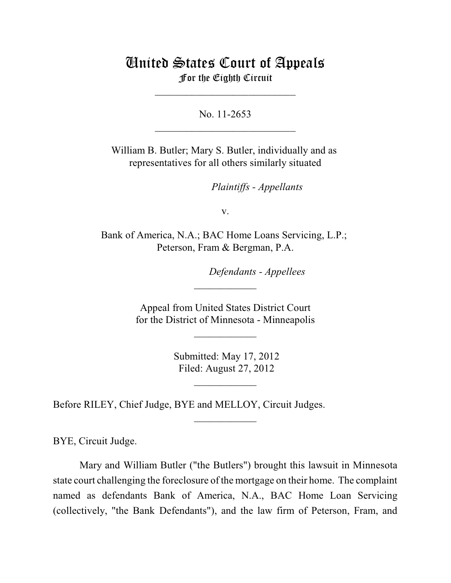## United States Court of Appeals For the Eighth Circuit

\_\_\_\_\_\_\_\_\_\_\_\_\_\_\_\_\_\_\_\_\_\_\_\_\_\_\_

No. 11-2653  $\mathcal{L}_\text{max}$  , which is a set of the set of the set of the set of the set of the set of the set of the set of the set of the set of the set of the set of the set of the set of the set of the set of the set of the set of

William B. Butler; Mary S. Butler, individually and as representatives for all others similarly situated

*Plaintiffs - Appellants* 

v.

Bank of America, N.A.; BAC Home Loans Servicing, L.P.; Peterson, Fram & Bergman, P.A.

*Defendants - Appellees* 

 Appeal from United States District Court for the District of Minnesota - Minneapolis

 $\frac{1}{2}$ 

 $\frac{1}{2}$ 

 Submitted: May 17, 2012 Filed: August 27, 2012

\_\_\_\_\_\_\_\_\_\_\_\_

 $\frac{1}{2}$ 

Before RILEY, Chief Judge, BYE and MELLOY, Circuit Judges.

BYE, Circuit Judge.

Mary and William Butler ("the Butlers") brought this lawsuit in Minnesota state court challenging the foreclosure of the mortgage on their home. The complaint named as defendants Bank of America, N.A., BAC Home Loan Servicing (collectively, "the Bank Defendants"), and the law firm of Peterson, Fram, and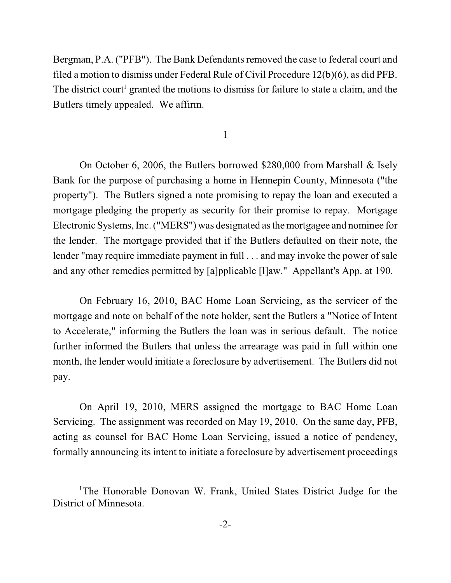Bergman, P.A. ("PFB"). The Bank Defendants removed the case to federal court and filed a motion to dismiss under Federal Rule of Civil Procedure 12(b)(6), as did PFB. The district court<sup>1</sup> granted the motions to dismiss for failure to state a claim, and the Butlers timely appealed. We affirm.

## I

On October 6, 2006, the Butlers borrowed \$280,000 from Marshall & Isely Bank for the purpose of purchasing a home in Hennepin County, Minnesota ("the property"). The Butlers signed a note promising to repay the loan and executed a mortgage pledging the property as security for their promise to repay. Mortgage Electronic Systems, Inc. ("MERS") was designated asthe mortgagee and nominee for the lender. The mortgage provided that if the Butlers defaulted on their note, the lender "may require immediate payment in full . . . and may invoke the power of sale and any other remedies permitted by [a]pplicable [l]aw." Appellant's App. at 190.

On February 16, 2010, BAC Home Loan Servicing, as the servicer of the mortgage and note on behalf of the note holder, sent the Butlers a "Notice of Intent to Accelerate," informing the Butlers the loan was in serious default. The notice further informed the Butlers that unless the arrearage was paid in full within one month, the lender would initiate a foreclosure by advertisement. The Butlers did not pay.

On April 19, 2010, MERS assigned the mortgage to BAC Home Loan Servicing. The assignment was recorded on May 19, 2010. On the same day, PFB, acting as counsel for BAC Home Loan Servicing, issued a notice of pendency, formally announcing its intent to initiate a foreclosure by advertisement proceedings

<sup>&</sup>lt;sup>1</sup>The Honorable Donovan W. Frank, United States District Judge for the District of Minnesota.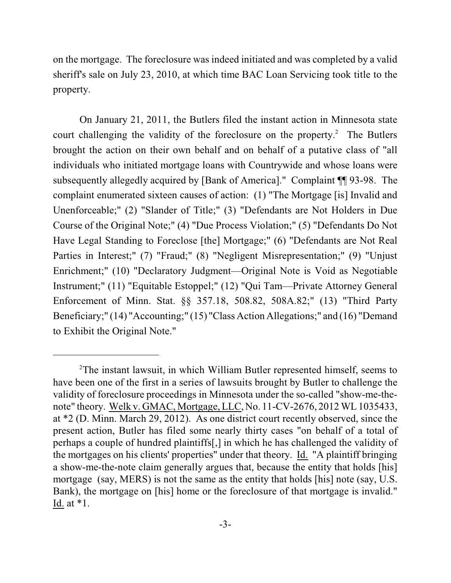on the mortgage. The foreclosure was indeed initiated and was completed by a valid sheriff's sale on July 23, 2010, at which time BAC Loan Servicing took title to the property.

On January 21, 2011, the Butlers filed the instant action in Minnesota state court challenging the validity of the foreclosure on the property. $<sup>2</sup>$  The Butlers</sup> brought the action on their own behalf and on behalf of a putative class of "all individuals who initiated mortgage loans with Countrywide and whose loans were subsequently allegedly acquired by [Bank of America]." Complaint ¶¶ 93-98. The complaint enumerated sixteen causes of action: (1) "The Mortgage [is] Invalid and Unenforceable;" (2) "Slander of Title;" (3) "Defendants are Not Holders in Due Course of the Original Note;" (4) "Due Process Violation;" (5) "Defendants Do Not Have Legal Standing to Foreclose [the] Mortgage;" (6) "Defendants are Not Real Parties in Interest;" (7) "Fraud;" (8) "Negligent Misrepresentation;" (9) "Unjust Enrichment;" (10) "Declaratory Judgment—Original Note is Void as Negotiable Instrument;" (11) "Equitable Estoppel;" (12) "Qui Tam—Private Attorney General Enforcement of Minn. Stat. §§ 357.18, 508.82, 508A.82;" (13) "Third Party Beneficiary;" (14) "Accounting;" (15) "Class Action Allegations;" and (16) "Demand to Exhibit the Original Note."

 $2$ The instant lawsuit, in which William Butler represented himself, seems to have been one of the first in a series of lawsuits brought by Butler to challenge the validity of foreclosure proceedings in Minnesota under the so-called "show-me-thenote" theory. Welk v. GMAC, Mortgage, LLC, No. 11-CV-2676, 2012 WL 1035433, at \*2 (D. Minn. March 29, 2012). As one district court recently observed, since the present action, Butler has filed some nearly thirty cases "on behalf of a total of perhaps a couple of hundred plaintiffs[,] in which he has challenged the validity of the mortgages on his clients' properties" under that theory. Id. "A plaintiff bringing a show-me-the-note claim generally argues that, because the entity that holds [his] mortgage (say, MERS) is not the same as the entity that holds [his] note (say, U.S. Bank), the mortgage on [his] home or the foreclosure of that mortgage is invalid." Id. at \*1.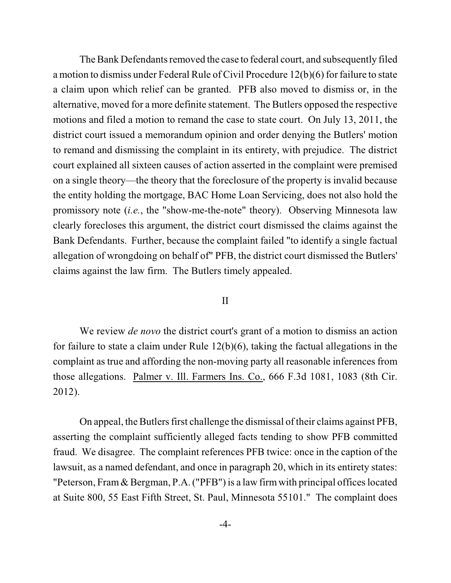The Bank Defendants removed the case to federal court, and subsequently filed a motion to dismiss under Federal Rule of Civil Procedure 12(b)(6) for failure to state a claim upon which relief can be granted. PFB also moved to dismiss or, in the alternative, moved for a more definite statement. The Butlers opposed the respective motions and filed a motion to remand the case to state court. On July 13, 2011, the district court issued a memorandum opinion and order denying the Butlers' motion to remand and dismissing the complaint in its entirety, with prejudice. The district court explained all sixteen causes of action asserted in the complaint were premised on a single theory—the theory that the foreclosure of the property is invalid because the entity holding the mortgage, BAC Home Loan Servicing, does not also hold the promissory note (*i.e.*, the "show-me-the-note" theory). Observing Minnesota law clearly forecloses this argument, the district court dismissed the claims against the Bank Defendants. Further, because the complaint failed "to identify a single factual allegation of wrongdoing on behalf of" PFB, the district court dismissed the Butlers' claims against the law firm. The Butlers timely appealed.

## II

We review *de novo* the district court's grant of a motion to dismiss an action for failure to state a claim under Rule 12(b)(6), taking the factual allegations in the complaint as true and affording the non-moving party all reasonable inferences from those allegations. Palmer v. Ill. Farmers Ins. Co., 666 F.3d 1081, 1083 (8th Cir. 2012).

On appeal, the Butlers first challenge the dismissal of their claims against PFB, asserting the complaint sufficiently alleged facts tending to show PFB committed fraud. We disagree. The complaint references PFB twice: once in the caption of the lawsuit, as a named defendant, and once in paragraph 20, which in its entirety states: "Peterson, Fram & Bergman, P.A. ("PFB") is a law firm with principal offices located at Suite 800, 55 East Fifth Street, St. Paul, Minnesota 55101." The complaint does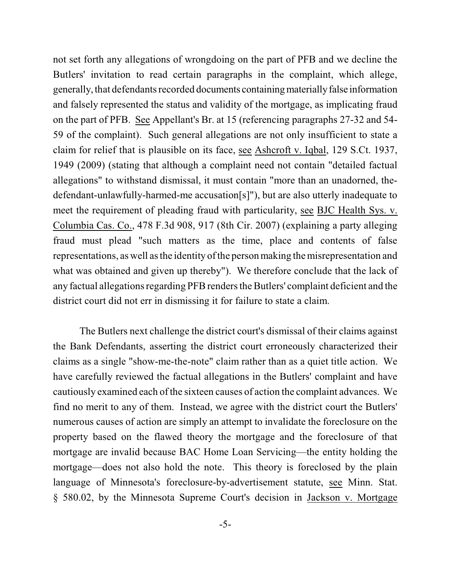not set forth any allegations of wrongdoing on the part of PFB and we decline the Butlers' invitation to read certain paragraphs in the complaint, which allege, generally, that defendants recorded documents containing materially false information and falsely represented the status and validity of the mortgage, as implicating fraud on the part of PFB. See Appellant's Br. at 15 (referencing paragraphs 27-32 and 54- 59 of the complaint). Such general allegations are not only insufficient to state a claim for relief that is plausible on its face, see Ashcroft v. Iqbal, 129 S.Ct. 1937, 1949 (2009) (stating that although a complaint need not contain "detailed factual allegations" to withstand dismissal, it must contain "more than an unadorned, thedefendant-unlawfully-harmed-me accusation[s]"), but are also utterly inadequate to meet the requirement of pleading fraud with particularity, see BJC Health Sys. v. Columbia Cas. Co., 478 F.3d 908, 917 (8th Cir. 2007) (explaining a party alleging fraud must plead "such matters as the time, place and contents of false representations, as well as the identity of the person making the misrepresentation and what was obtained and given up thereby"). We therefore conclude that the lack of any factual allegations regarding PFB rendersthe Butlers' complaint deficient and the district court did not err in dismissing it for failure to state a claim.

The Butlers next challenge the district court's dismissal of their claims against the Bank Defendants, asserting the district court erroneously characterized their claims as a single "show-me-the-note" claim rather than as a quiet title action. We have carefully reviewed the factual allegations in the Butlers' complaint and have cautiously examined each ofthe sixteen causes of action the complaint advances. We find no merit to any of them. Instead, we agree with the district court the Butlers' numerous causes of action are simply an attempt to invalidate the foreclosure on the property based on the flawed theory the mortgage and the foreclosure of that mortgage are invalid because BAC Home Loan Servicing—the entity holding the mortgage—does not also hold the note. This theory is foreclosed by the plain language of Minnesota's foreclosure-by-advertisement statute, see Minn. Stat. § 580.02, by the Minnesota Supreme Court's decision in Jackson v. Mortgage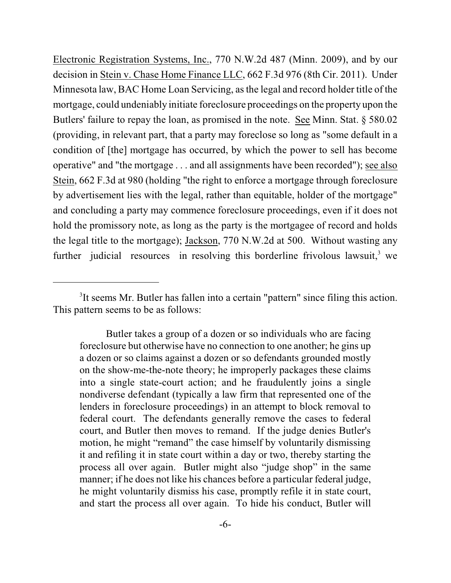Electronic Registration Systems, Inc., 770 N.W.2d 487 (Minn. 2009), and by our decision in Stein v. Chase Home Finance LLC, 662 F.3d 976 (8th Cir. 2011). Under Minnesota law, BAC Home Loan Servicing, asthe legal and record holder title of the mortgage, could undeniably initiate foreclosure proceedings on the property upon the Butlers' failure to repay the loan, as promised in the note. See Minn. Stat. § 580.02 (providing, in relevant part, that a party may foreclose so long as "some default in a condition of [the] mortgage has occurred, by which the power to sell has become operative" and "the mortgage . . . and all assignments have been recorded"); see also Stein, 662 F.3d at 980 (holding "the right to enforce a mortgage through foreclosure by advertisement lies with the legal, rather than equitable, holder of the mortgage" and concluding a party may commence foreclosure proceedings, even if it does not hold the promissory note, as long as the party is the mortgagee of record and holds the legal title to the mortgage); Jackson, 770 N.W.2d at 500. Without wasting any further judicial resources in resolving this borderline frivolous lawsuit, $<sup>3</sup>$  we</sup>

<sup>&</sup>lt;sup>3</sup>It seems Mr. Butler has fallen into a certain "pattern" since filing this action. This pattern seems to be as follows:

Butler takes a group of a dozen or so individuals who are facing foreclosure but otherwise have no connection to one another; he gins up a dozen or so claims against a dozen or so defendants grounded mostly on the show-me-the-note theory; he improperly packages these claims into a single state-court action; and he fraudulently joins a single nondiverse defendant (typically a law firm that represented one of the lenders in foreclosure proceedings) in an attempt to block removal to federal court. The defendants generally remove the cases to federal court, and Butler then moves to remand. If the judge denies Butler's motion, he might "remand" the case himself by voluntarily dismissing it and refiling it in state court within a day or two, thereby starting the process all over again. Butler might also "judge shop" in the same manner; if he does not like his chances before a particular federal judge, he might voluntarily dismiss his case, promptly refile it in state court, and start the process all over again. To hide his conduct, Butler will